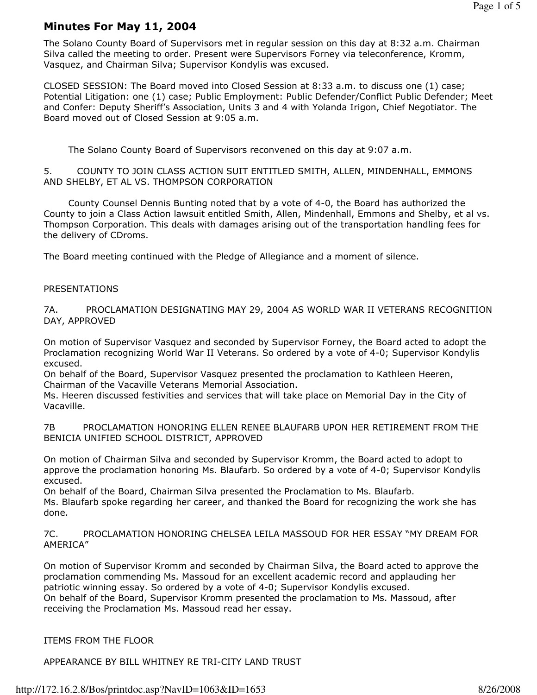# Minutes For May 11, 2004

The Solano County Board of Supervisors met in regular session on this day at 8:32 a.m. Chairman Silva called the meeting to order. Present were Supervisors Forney via teleconference, Kromm, Vasquez, and Chairman Silva; Supervisor Kondylis was excused.

CLOSED SESSION: The Board moved into Closed Session at 8:33 a.m. to discuss one (1) case; Potential Litigation: one (1) case; Public Employment: Public Defender/Conflict Public Defender; Meet and Confer: Deputy Sheriff's Association, Units 3 and 4 with Yolanda Irigon, Chief Negotiator. The Board moved out of Closed Session at 9:05 a.m.

The Solano County Board of Supervisors reconvened on this day at 9:07 a.m.

5. COUNTY TO JOIN CLASS ACTION SUIT ENTITLED SMITH, ALLEN, MINDENHALL, EMMONS AND SHELBY, ET AL VS. THOMPSON CORPORATION

 County Counsel Dennis Bunting noted that by a vote of 4-0, the Board has authorized the County to join a Class Action lawsuit entitled Smith, Allen, Mindenhall, Emmons and Shelby, et al vs. Thompson Corporation. This deals with damages arising out of the transportation handling fees for the delivery of CDroms.

The Board meeting continued with the Pledge of Allegiance and a moment of silence.

## PRESENTATIONS

7A. PROCLAMATION DESIGNATING MAY 29, 2004 AS WORLD WAR II VETERANS RECOGNITION DAY, APPROVED

On motion of Supervisor Vasquez and seconded by Supervisor Forney, the Board acted to adopt the Proclamation recognizing World War II Veterans. So ordered by a vote of 4-0; Supervisor Kondylis excused.

On behalf of the Board, Supervisor Vasquez presented the proclamation to Kathleen Heeren, Chairman of the Vacaville Veterans Memorial Association.

Ms. Heeren discussed festivities and services that will take place on Memorial Day in the City of Vacaville.

7B PROCLAMATION HONORING ELLEN RENEE BLAUFARB UPON HER RETIREMENT FROM THE BENICIA UNIFIED SCHOOL DISTRICT, APPROVED

On motion of Chairman Silva and seconded by Supervisor Kromm, the Board acted to adopt to approve the proclamation honoring Ms. Blaufarb. So ordered by a vote of 4-0; Supervisor Kondylis excused.

On behalf of the Board, Chairman Silva presented the Proclamation to Ms. Blaufarb.

Ms. Blaufarb spoke regarding her career, and thanked the Board for recognizing the work she has done.

7C. PROCLAMATION HONORING CHELSEA LEILA MASSOUD FOR HER ESSAY "MY DREAM FOR AMERICA"

On motion of Supervisor Kromm and seconded by Chairman Silva, the Board acted to approve the proclamation commending Ms. Massoud for an excellent academic record and applauding her patriotic winning essay. So ordered by a vote of 4-0; Supervisor Kondylis excused. On behalf of the Board, Supervisor Kromm presented the proclamation to Ms. Massoud, after receiving the Proclamation Ms. Massoud read her essay.

## ITEMS FROM THE FLOOR

APPEARANCE BY BILL WHITNEY RE TRI-CITY LAND TRUST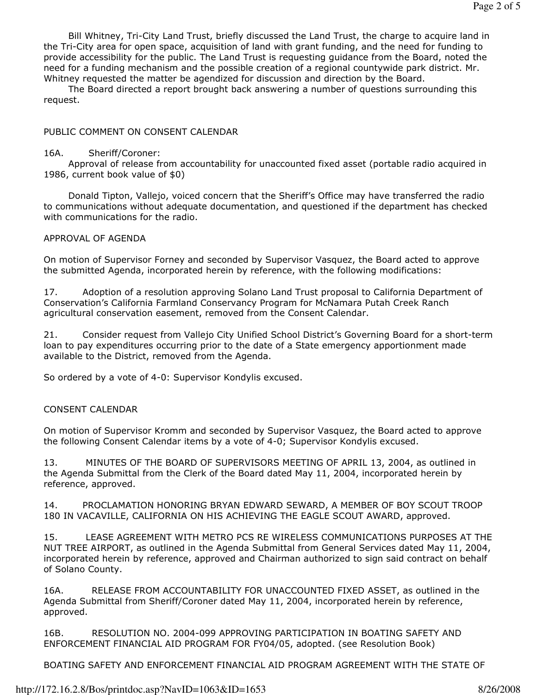Bill Whitney, Tri-City Land Trust, briefly discussed the Land Trust, the charge to acquire land in the Tri-City area for open space, acquisition of land with grant funding, and the need for funding to provide accessibility for the public. The Land Trust is requesting guidance from the Board, noted the need for a funding mechanism and the possible creation of a regional countywide park district. Mr. Whitney requested the matter be agendized for discussion and direction by the Board.

 The Board directed a report brought back answering a number of questions surrounding this request.

# PUBLIC COMMENT ON CONSENT CALENDAR

#### 16A. Sheriff/Coroner:

 Approval of release from accountability for unaccounted fixed asset (portable radio acquired in 1986, current book value of \$0)

 Donald Tipton, Vallejo, voiced concern that the Sheriff's Office may have transferred the radio to communications without adequate documentation, and questioned if the department has checked with communications for the radio.

## APPROVAL OF AGENDA

On motion of Supervisor Forney and seconded by Supervisor Vasquez, the Board acted to approve the submitted Agenda, incorporated herein by reference, with the following modifications:

17. Adoption of a resolution approving Solano Land Trust proposal to California Department of Conservation's California Farmland Conservancy Program for McNamara Putah Creek Ranch agricultural conservation easement, removed from the Consent Calendar.

21. Consider request from Vallejo City Unified School District's Governing Board for a short-term loan to pay expenditures occurring prior to the date of a State emergency apportionment made available to the District, removed from the Agenda.

So ordered by a vote of 4-0: Supervisor Kondylis excused.

## CONSENT CALENDAR

On motion of Supervisor Kromm and seconded by Supervisor Vasquez, the Board acted to approve the following Consent Calendar items by a vote of 4-0; Supervisor Kondylis excused.

13. MINUTES OF THE BOARD OF SUPERVISORS MEETING OF APRIL 13, 2004, as outlined in the Agenda Submittal from the Clerk of the Board dated May 11, 2004, incorporated herein by reference, approved.

14. PROCLAMATION HONORING BRYAN EDWARD SEWARD, A MEMBER OF BOY SCOUT TROOP 180 IN VACAVILLE, CALIFORNIA ON HIS ACHIEVING THE EAGLE SCOUT AWARD, approved.

15. LEASE AGREEMENT WITH METRO PCS RE WIRELESS COMMUNICATIONS PURPOSES AT THE NUT TREE AIRPORT, as outlined in the Agenda Submittal from General Services dated May 11, 2004, incorporated herein by reference, approved and Chairman authorized to sign said contract on behalf of Solano County.

16A. RELEASE FROM ACCOUNTABILITY FOR UNACCOUNTED FIXED ASSET, as outlined in the Agenda Submittal from Sheriff/Coroner dated May 11, 2004, incorporated herein by reference, approved.

16B. RESOLUTION NO. 2004-099 APPROVING PARTICIPATION IN BOATING SAFETY AND ENFORCEMENT FINANCIAL AID PROGRAM FOR FY04/05, adopted. (see Resolution Book)

BOATING SAFETY AND ENFORCEMENT FINANCIAL AID PROGRAM AGREEMENT WITH THE STATE OF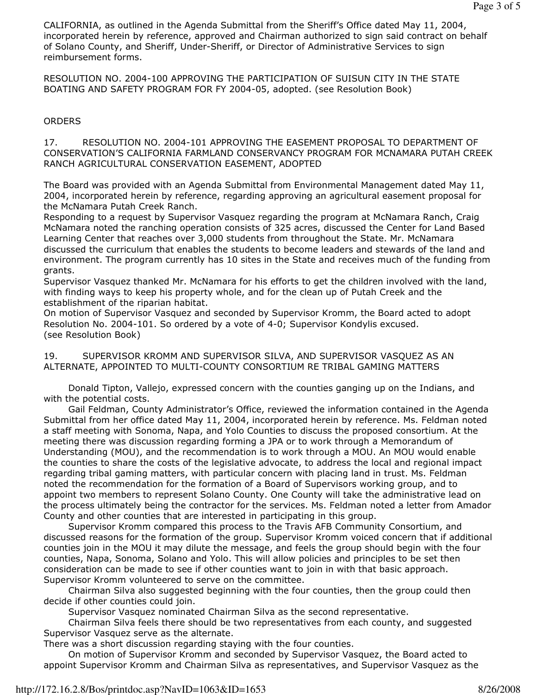CALIFORNIA, as outlined in the Agenda Submittal from the Sheriff's Office dated May 11, 2004, incorporated herein by reference, approved and Chairman authorized to sign said contract on behalf of Solano County, and Sheriff, Under-Sheriff, or Director of Administrative Services to sign reimbursement forms.

RESOLUTION NO. 2004-100 APPROVING THE PARTICIPATION OF SUISUN CITY IN THE STATE BOATING AND SAFETY PROGRAM FOR FY 2004-05, adopted. (see Resolution Book)

# **ORDERS**

17. RESOLUTION NO. 2004-101 APPROVING THE EASEMENT PROPOSAL TO DEPARTMENT OF CONSERVATION'S CALIFORNIA FARMLAND CONSERVANCY PROGRAM FOR MCNAMARA PUTAH CREEK RANCH AGRICULTURAL CONSERVATION EASEMENT, ADOPTED

The Board was provided with an Agenda Submittal from Environmental Management dated May 11, 2004, incorporated herein by reference, regarding approving an agricultural easement proposal for the McNamara Putah Creek Ranch.

Responding to a request by Supervisor Vasquez regarding the program at McNamara Ranch, Craig McNamara noted the ranching operation consists of 325 acres, discussed the Center for Land Based Learning Center that reaches over 3,000 students from throughout the State. Mr. McNamara discussed the curriculum that enables the students to become leaders and stewards of the land and environment. The program currently has 10 sites in the State and receives much of the funding from grants.

Supervisor Vasquez thanked Mr. McNamara for his efforts to get the children involved with the land, with finding ways to keep his property whole, and for the clean up of Putah Creek and the establishment of the riparian habitat.

On motion of Supervisor Vasquez and seconded by Supervisor Kromm, the Board acted to adopt Resolution No. 2004-101. So ordered by a vote of 4-0; Supervisor Kondylis excused. (see Resolution Book)

19. SUPERVISOR KROMM AND SUPERVISOR SILVA, AND SUPERVISOR VASQUEZ AS AN ALTERNATE, APPOINTED TO MULTI-COUNTY CONSORTIUM RE TRIBAL GAMING MATTERS

 Donald Tipton, Vallejo, expressed concern with the counties ganging up on the Indians, and with the potential costs.

 Gail Feldman, County Administrator's Office, reviewed the information contained in the Agenda Submittal from her office dated May 11, 2004, incorporated herein by reference. Ms. Feldman noted a staff meeting with Sonoma, Napa, and Yolo Counties to discuss the proposed consortium. At the meeting there was discussion regarding forming a JPA or to work through a Memorandum of Understanding (MOU), and the recommendation is to work through a MOU. An MOU would enable the counties to share the costs of the legislative advocate, to address the local and regional impact regarding tribal gaming matters, with particular concern with placing land in trust. Ms. Feldman noted the recommendation for the formation of a Board of Supervisors working group, and to appoint two members to represent Solano County. One County will take the administrative lead on the process ultimately being the contractor for the services. Ms. Feldman noted a letter from Amador County and other counties that are interested in participating in this group.

 Supervisor Kromm compared this process to the Travis AFB Community Consortium, and discussed reasons for the formation of the group. Supervisor Kromm voiced concern that if additional counties join in the MOU it may dilute the message, and feels the group should begin with the four counties, Napa, Sonoma, Solano and Yolo. This will allow policies and principles to be set then consideration can be made to see if other counties want to join in with that basic approach. Supervisor Kromm volunteered to serve on the committee.

 Chairman Silva also suggested beginning with the four counties, then the group could then decide if other counties could join.

Supervisor Vasquez nominated Chairman Silva as the second representative.

 Chairman Silva feels there should be two representatives from each county, and suggested Supervisor Vasquez serve as the alternate.

There was a short discussion regarding staying with the four counties.

 On motion of Supervisor Kromm and seconded by Supervisor Vasquez, the Board acted to appoint Supervisor Kromm and Chairman Silva as representatives, and Supervisor Vasquez as the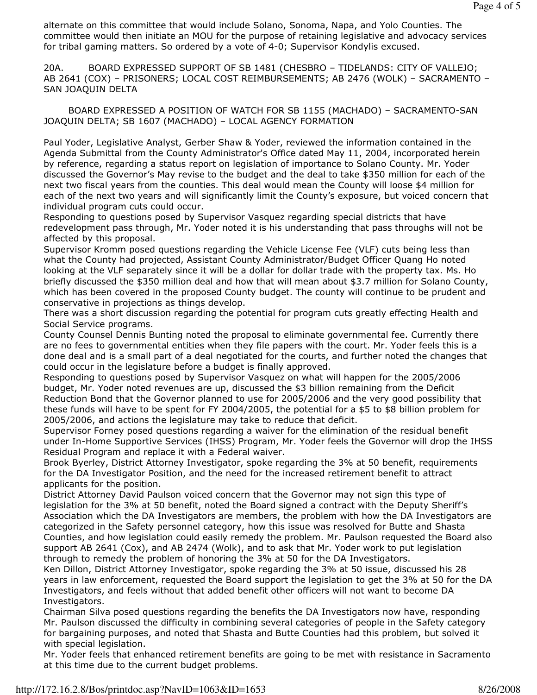alternate on this committee that would include Solano, Sonoma, Napa, and Yolo Counties. The committee would then initiate an MOU for the purpose of retaining legislative and advocacy services for tribal gaming matters. So ordered by a vote of 4-0; Supervisor Kondylis excused.

20A. BOARD EXPRESSED SUPPORT OF SB 1481 (CHESBRO – TIDELANDS: CITY OF VALLEJO; AB 2641 (COX) – PRISONERS; LOCAL COST REIMBURSEMENTS; AB 2476 (WOLK) – SACRAMENTO – SAN JOAQUIN DELTA

 BOARD EXPRESSED A POSITION OF WATCH FOR SB 1155 (MACHADO) – SACRAMENTO-SAN JOAQUIN DELTA; SB 1607 (MACHADO) – LOCAL AGENCY FORMATION

Paul Yoder, Legislative Analyst, Gerber Shaw & Yoder, reviewed the information contained in the Agenda Submittal from the County Administrator's Office dated May 11, 2004, incorporated herein by reference, regarding a status report on legislation of importance to Solano County. Mr. Yoder discussed the Governor's May revise to the budget and the deal to take \$350 million for each of the next two fiscal years from the counties. This deal would mean the County will loose \$4 million for each of the next two years and will significantly limit the County's exposure, but voiced concern that individual program cuts could occur.

Responding to questions posed by Supervisor Vasquez regarding special districts that have redevelopment pass through, Mr. Yoder noted it is his understanding that pass throughs will not be affected by this proposal.

Supervisor Kromm posed questions regarding the Vehicle License Fee (VLF) cuts being less than what the County had projected, Assistant County Administrator/Budget Officer Quang Ho noted looking at the VLF separately since it will be a dollar for dollar trade with the property tax. Ms. Ho briefly discussed the \$350 million deal and how that will mean about \$3.7 million for Solano County, which has been covered in the proposed County budget. The county will continue to be prudent and conservative in projections as things develop.

There was a short discussion regarding the potential for program cuts greatly effecting Health and Social Service programs.

County Counsel Dennis Bunting noted the proposal to eliminate governmental fee. Currently there are no fees to governmental entities when they file papers with the court. Mr. Yoder feels this is a done deal and is a small part of a deal negotiated for the courts, and further noted the changes that could occur in the legislature before a budget is finally approved.

Responding to questions posed by Supervisor Vasquez on what will happen for the 2005/2006 budget, Mr. Yoder noted revenues are up, discussed the \$3 billion remaining from the Deficit Reduction Bond that the Governor planned to use for 2005/2006 and the very good possibility that these funds will have to be spent for FY 2004/2005, the potential for a \$5 to \$8 billion problem for 2005/2006, and actions the legislature may take to reduce that deficit.

Supervisor Forney posed questions regarding a waiver for the elimination of the residual benefit under In-Home Supportive Services (IHSS) Program, Mr. Yoder feels the Governor will drop the IHSS Residual Program and replace it with a Federal waiver.

Brook Byerley, District Attorney Investigator, spoke regarding the 3% at 50 benefit, requirements for the DA Investigator Position, and the need for the increased retirement benefit to attract applicants for the position.

District Attorney David Paulson voiced concern that the Governor may not sign this type of legislation for the 3% at 50 benefit, noted the Board signed a contract with the Deputy Sheriff's Association which the DA Investigators are members, the problem with how the DA Investigators are categorized in the Safety personnel category, how this issue was resolved for Butte and Shasta Counties, and how legislation could easily remedy the problem. Mr. Paulson requested the Board also support AB 2641 (Cox), and AB 2474 (Wolk), and to ask that Mr. Yoder work to put legislation through to remedy the problem of honoring the 3% at 50 for the DA Investigators.

Ken Dillon, District Attorney Investigator, spoke regarding the 3% at 50 issue, discussed his 28 years in law enforcement, requested the Board support the legislation to get the 3% at 50 for the DA Investigators, and feels without that added benefit other officers will not want to become DA Investigators.

Chairman Silva posed questions regarding the benefits the DA Investigators now have, responding Mr. Paulson discussed the difficulty in combining several categories of people in the Safety category for bargaining purposes, and noted that Shasta and Butte Counties had this problem, but solved it with special legislation.

Mr. Yoder feels that enhanced retirement benefits are going to be met with resistance in Sacramento at this time due to the current budget problems.